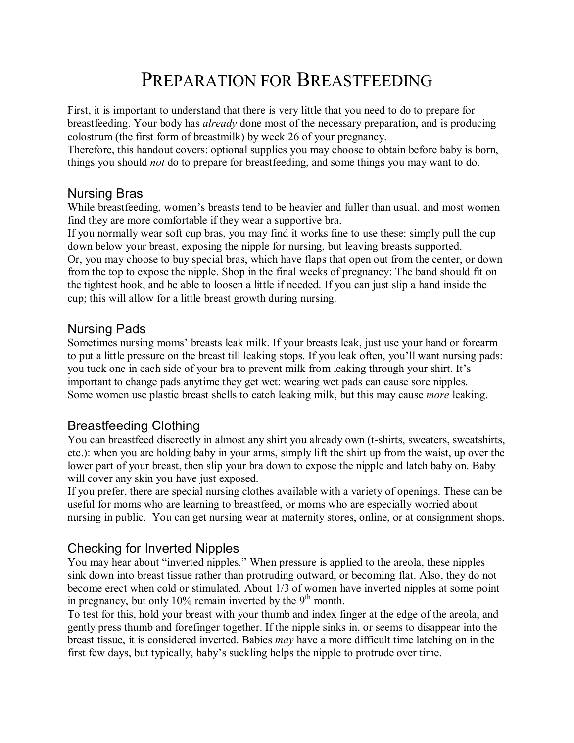# PREPARATION FOR BREASTFEEDING

First, it is important to understand that there is very little that you need to do to prepare for breastfeeding. Your body has *already* done most of the necessary preparation, and is producing colostrum (the first form of breastmilk) by week 26 of your pregnancy.

Therefore, this handout covers: optional supplies you may choose to obtain before baby is born, things you should *not* do to prepare for breastfeeding, and some things you may want to do.

### Nursing Bras

While breastfeeding, women's breasts tend to be heavier and fuller than usual, and most women find they are more comfortable if they wear a supportive bra.

If you normally wear soft cup bras, you may find it works fine to use these: simply pull the cup down below your breast, exposing the nipple for nursing, but leaving breasts supported. Or, you may choose to buy special bras, which have flaps that open out from the center, or down from the top to expose the nipple. Shop in the final weeks of pregnancy: The band should fit on the tightest hook, and be able to loosen a little if needed. If you can just slip a hand inside the cup; this will allow for a little breast growth during nursing.

### Nursing Pads

Sometimes nursing moms' breasts leak milk. If your breasts leak, just use your hand or forearm to put a little pressure on the breast till leaking stops. If you leak often, you'll want nursing pads: you tuck one in each side of your bra to prevent milk from leaking through your shirt. It's important to change pads anytime they get wet: wearing wet pads can cause sore nipples. Some women use plastic breast shells to catch leaking milk, but this may cause *more* leaking.

# Breastfeeding Clothing

You can breastfeed discreetly in almost any shirt you already own (t-shirts, sweaters, sweatshirts, etc.): when you are holding baby in your arms, simply lift the shirt up from the waist, up over the lower part of your breast, then slip your bra down to expose the nipple and latch baby on. Baby will cover any skin you have just exposed.

If you prefer, there are special nursing clothes available with a variety of openings. These can be useful for moms who are learning to breastfeed, or moms who are especially worried about nursing in public. You can get nursing wear at maternity stores, online, or at consignment shops.

# Checking for Inverted Nipples

You may hear about "inverted nipples." When pressure is applied to the areola, these nipples sink down into breast tissue rather than protruding outward, or becoming flat. Also, they do not become erect when cold or stimulated. About 1/3 of women have inverted nipples at some point in pregnancy, but only 10% remain inverted by the  $9<sup>th</sup>$  month.

To test for this, hold your breast with your thumb and index finger at the edge of the areola, and gently press thumb and forefinger together. If the nipple sinks in, or seems to disappear into the breast tissue, it is considered inverted. Babies *may* have a more difficult time latching on in the first few days, but typically, babyís suckling helps the nipple to protrude over time.